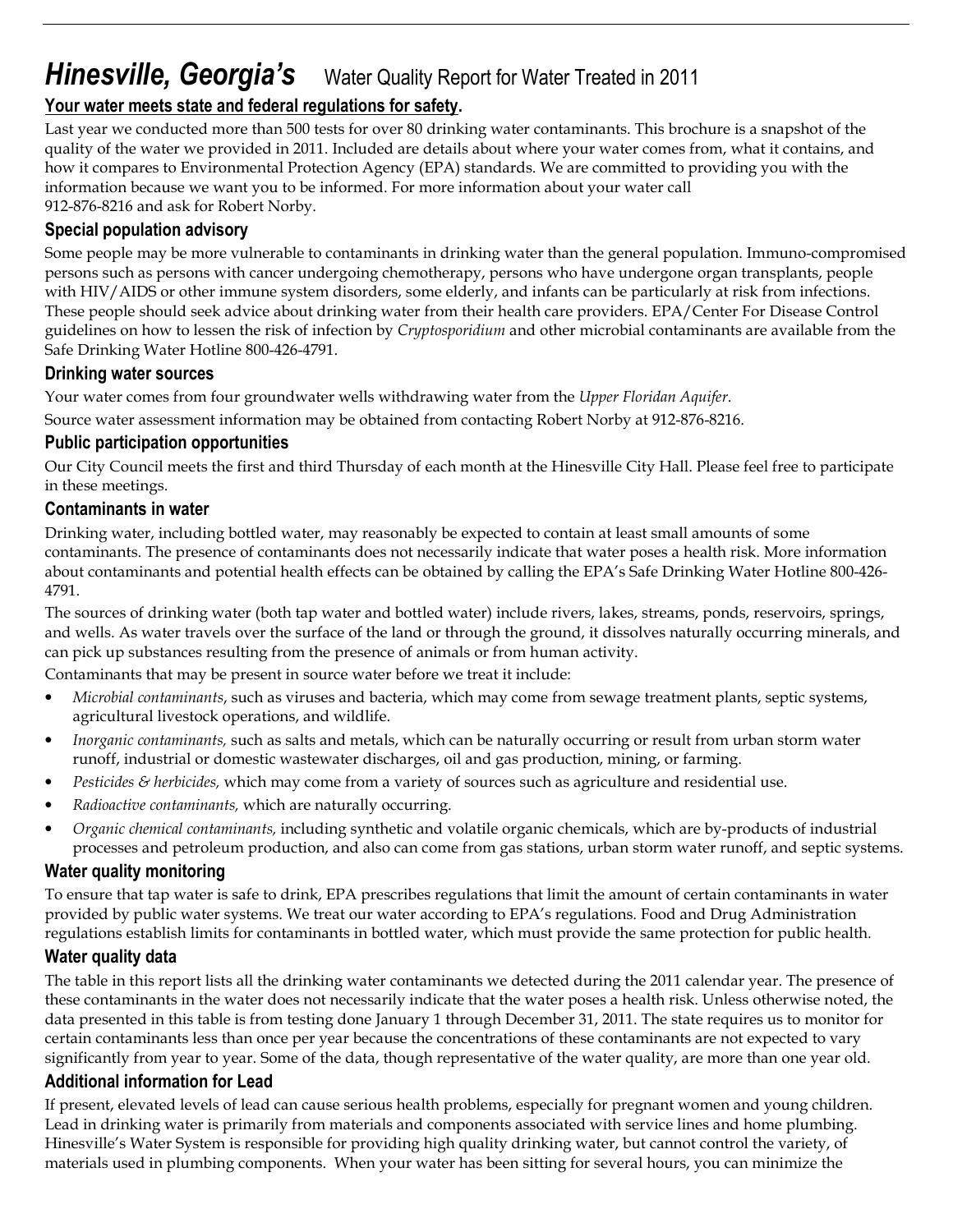# **Hinesville, Georgia's** Water Quality Report for Water Treated in 2011

## Your water meets state and federal regulations for safety.

Last year we conducted more than 500 tests for over 80 drinking water contaminants. This brochure is a snapshot of the quality of the water we provided in 2011. Included are details about where your water comes from, what it contains, and how it compares to Environmental Protection Agency (EPA) standards. We are committed to providing you with the information because we want you to be informed. For more information about your water call 912-876-8216 and ask for Robert Norby.

## Special population advisory

Some people may be more vulnerable to contaminants in drinking water than the general population. Immuno-compromised persons such as persons with cancer undergoing chemotherapy, persons who have undergone organ transplants, people with HIV/AIDS or other immune system disorders, some elderly, and infants can be particularly at risk from infections. These people should seek advice about drinking water from their health care providers. EPA/Center For Disease Control guidelines on how to lessen the risk of infection by *Cryptosporidium* and other microbial contaminants are available from the Safe Drinking Water Hotline 800-426-4791.

## Drinking water sources

Your water comes from four groundwater wells withdrawing water from the Upper Floridan Aquifer.

Source water assessment information may be obtained from contacting Robert Norby at 912-876-8216.

## Public participation opportunities

Our City Council meets the first and third Thursday of each month at the Hinesville City Hall. Please feel free to participate in these meetings.

### Contaminants in water

Drinking water, including bottled water, may reasonably be expected to contain at least small amounts of some contaminants. The presence of contaminants does not necessarily indicate that water poses a health risk. More information about contaminants and potential health effects can be obtained by calling the EPA's Safe Drinking Water Hotline 800-426- 4791.

The sources of drinking water (both tap water and bottled water) include rivers, lakes, streams, ponds, reservoirs, springs, and wells. As water travels over the surface of the land or through the ground, it dissolves naturally occurring minerals, and can pick up substances resulting from the presence of animals or from human activity.

Contaminants that may be present in source water before we treat it include:

- Microbial contaminants, such as viruses and bacteria, which may come from sewage treatment plants, septic systems, agricultural livestock operations, and wildlife.
- Inorganic contaminants, such as salts and metals, which can be naturally occurring or result from urban storm water runoff, industrial or domestic wastewater discharges, oil and gas production, mining, or farming.
- Pesticides & herbicides, which may come from a variety of sources such as agriculture and residential use.
- Radioactive contaminants, which are naturally occurring.
- Organic chemical contaminants, including synthetic and volatile organic chemicals, which are by-products of industrial processes and petroleum production, and also can come from gas stations, urban storm water runoff, and septic systems.

### Water quality monitoring

To ensure that tap water is safe to drink, EPA prescribes regulations that limit the amount of certain contaminants in water provided by public water systems. We treat our water according to EPA's regulations. Food and Drug Administration regulations establish limits for contaminants in bottled water, which must provide the same protection for public health.

## Water quality data

The table in this report lists all the drinking water contaminants we detected during the 2011 calendar year. The presence of these contaminants in the water does not necessarily indicate that the water poses a health risk. Unless otherwise noted, the data presented in this table is from testing done January 1 through December 31, 2011. The state requires us to monitor for certain contaminants less than once per year because the concentrations of these contaminants are not expected to vary significantly from year to year. Some of the data, though representative of the water quality, are more than one year old.

### Additional information for Lead

If present, elevated levels of lead can cause serious health problems, especially for pregnant women and young children. Lead in drinking water is primarily from materials and components associated with service lines and home plumbing. Hinesville's Water System is responsible for providing high quality drinking water, but cannot control the variety, of materials used in plumbing components. When your water has been sitting for several hours, you can minimize the